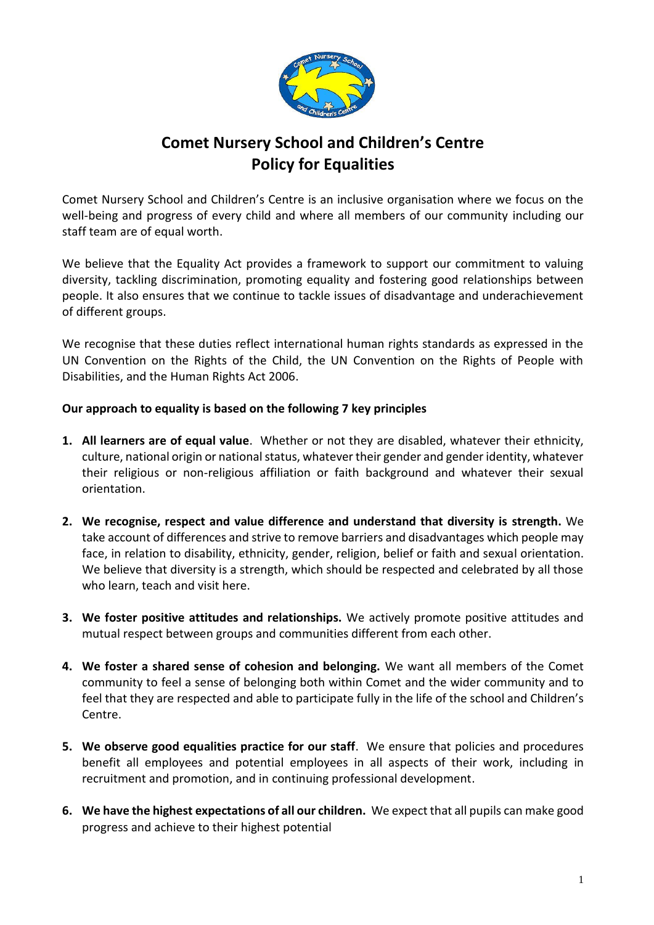

# **Comet Nursery School and Children's Centre Policy for Equalities**

Comet Nursery School and Children's Centre is an inclusive organisation where we focus on the well-being and progress of every child and where all members of our community including our staff team are of equal worth.

We believe that the Equality Act provides a framework to support our commitment to valuing diversity, tackling discrimination, promoting equality and fostering good relationships between people. It also ensures that we continue to tackle issues of disadvantage and underachievement of different groups.

We recognise that these duties reflect international human rights standards as expressed in the UN Convention on the Rights of the Child, the UN Convention on the Rights of People with Disabilities, and the Human Rights Act 2006.

## **Our approach to equality is based on the following 7 key principles**

- **1. All learners are of equal value**. Whether or not they are disabled, whatever their ethnicity, culture, national origin or national status, whatever their gender and gender identity, whatever their religious or non-religious affiliation or faith background and whatever their sexual orientation.
- **2. We recognise, respect and value difference and understand that diversity is strength.** We take account of differences and strive to remove barriers and disadvantages which people may face, in relation to disability, ethnicity, gender, religion, belief or faith and sexual orientation. We believe that diversity is a strength, which should be respected and celebrated by all those who learn, teach and visit here.
- **3. We foster positive attitudes and relationships.** We actively promote positive attitudes and mutual respect between groups and communities different from each other.
- **4. We foster a shared sense of cohesion and belonging.** We want all members of the Comet community to feel a sense of belonging both within Comet and the wider community and to feel that they are respected and able to participate fully in the life of the school and Children's Centre.
- **5. We observe good equalities practice for our staff**. We ensure that policies and procedures benefit all employees and potential employees in all aspects of their work, including in recruitment and promotion, and in continuing professional development.
- **6. We have the highest expectations of all our children.** We expect that all pupils can make good progress and achieve to their highest potential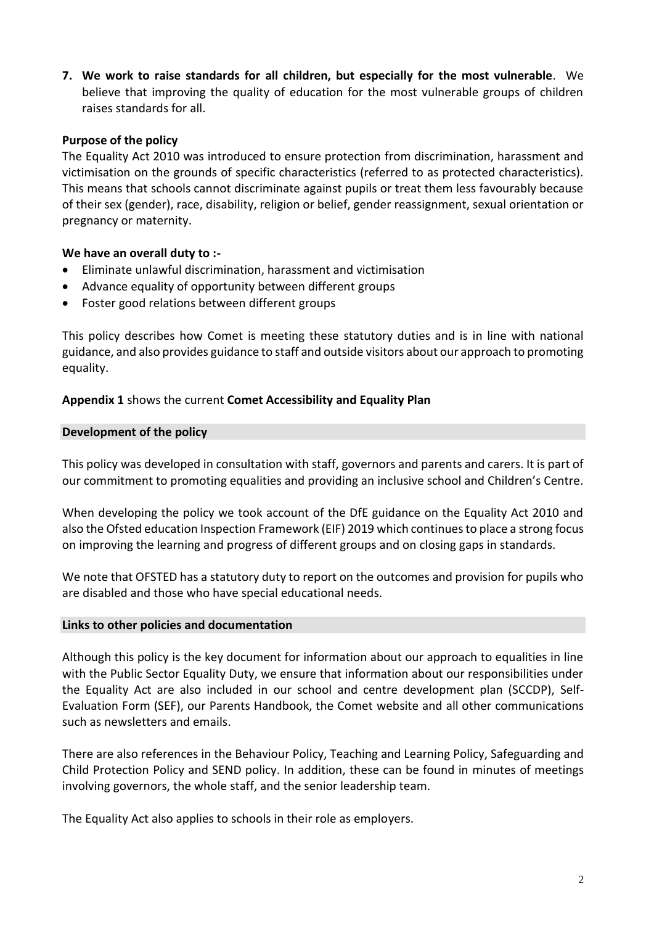**7. We work to raise standards for all children, but especially for the most vulnerable**. We believe that improving the quality of education for the most vulnerable groups of children raises standards for all.

## **Purpose of the policy**

The Equality Act 2010 was introduced to ensure protection from discrimination, harassment and victimisation on the grounds of specific characteristics (referred to as protected characteristics). This means that schools cannot discriminate against pupils or treat them less favourably because of their sex (gender), race, disability, religion or belief, gender reassignment, sexual orientation or pregnancy or maternity.

# **We have an overall duty to :-**

- Eliminate unlawful discrimination, harassment and victimisation
- Advance equality of opportunity between different groups
- Foster good relations between different groups

This policy describes how Comet is meeting these statutory duties and is in line with national guidance, and also provides guidance to staff and outside visitors about our approach to promoting equality.

# **Appendix 1** shows the current **Comet Accessibility and Equality Plan**

## **Development of the policy**

This policy was developed in consultation with staff, governors and parents and carers. It is part of our commitment to promoting equalities and providing an inclusive school and Children's Centre.

When developing the policy we took account of the DfE guidance on the Equality Act 2010 and also the Ofsted education Inspection Framework (EIF) 2019 which continues to place a strong focus on improving the learning and progress of different groups and on closing gaps in standards.

We note that OFSTED has a statutory duty to report on the outcomes and provision for pupils who are disabled and those who have special educational needs.

## **Links to other policies and documentation**

Although this policy is the key document for information about our approach to equalities in line with the Public Sector Equality Duty, we ensure that information about our responsibilities under the Equality Act are also included in our school and centre development plan (SCCDP), Self-Evaluation Form (SEF), our Parents Handbook, the Comet website and all other communications such as newsletters and emails.

There are also references in the Behaviour Policy, Teaching and Learning Policy, Safeguarding and Child Protection Policy and SEND policy. In addition, these can be found in minutes of meetings involving governors, the whole staff, and the senior leadership team.

The Equality Act also applies to schools in their role as employers.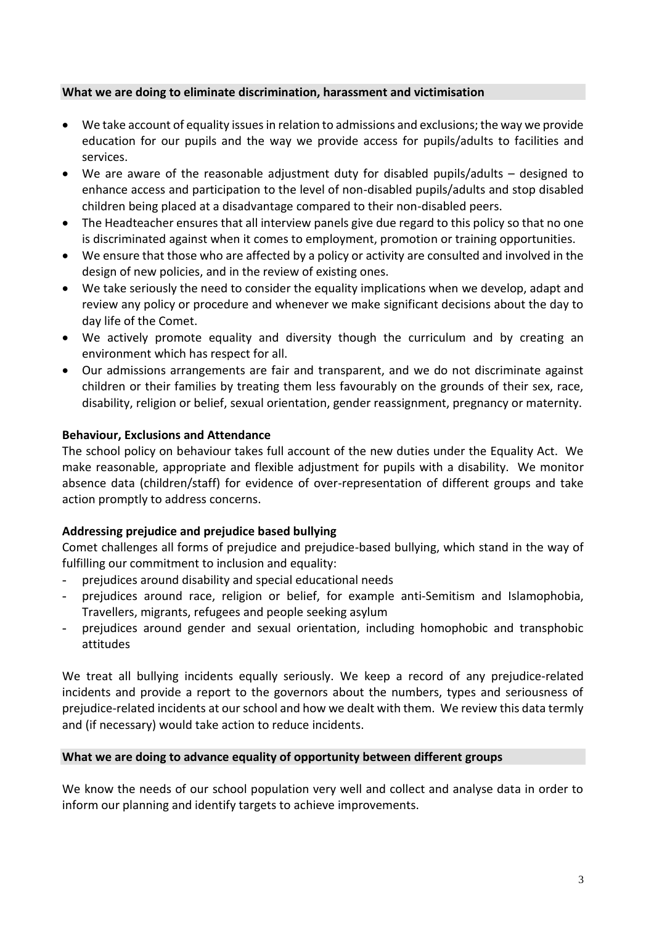#### **What we are doing to eliminate discrimination, harassment and victimisation**

- We take account of equality issues in relation to admissions and exclusions; the way we provide education for our pupils and the way we provide access for pupils/adults to facilities and services.
- We are aware of the reasonable adjustment duty for disabled pupils/adults designed to enhance access and participation to the level of non-disabled pupils/adults and stop disabled children being placed at a disadvantage compared to their non-disabled peers.
- The Headteacher ensures that all interview panels give due regard to this policy so that no one is discriminated against when it comes to employment, promotion or training opportunities.
- We ensure that those who are affected by a policy or activity are consulted and involved in the design of new policies, and in the review of existing ones.
- We take seriously the need to consider the equality implications when we develop, adapt and review any policy or procedure and whenever we make significant decisions about the day to day life of the Comet.
- We actively promote equality and diversity though the curriculum and by creating an environment which has respect for all.
- Our admissions arrangements are fair and transparent, and we do not discriminate against children or their families by treating them less favourably on the grounds of their sex, race, disability, religion or belief, sexual orientation, gender reassignment, pregnancy or maternity.

## **Behaviour, Exclusions and Attendance**

The school policy on behaviour takes full account of the new duties under the Equality Act. We make reasonable, appropriate and flexible adjustment for pupils with a disability. We monitor absence data (children/staff) for evidence of over-representation of different groups and take action promptly to address concerns.

## **Addressing prejudice and prejudice based bullying**

Comet challenges all forms of prejudice and prejudice-based bullying, which stand in the way of fulfilling our commitment to inclusion and equality:

- prejudices around disability and special educational needs
- prejudices around race, religion or belief, for example anti-Semitism and Islamophobia, Travellers, migrants, refugees and people seeking asylum
- prejudices around gender and sexual orientation, including homophobic and transphobic attitudes

We treat all bullying incidents equally seriously. We keep a record of any prejudice-related incidents and provide a report to the governors about the numbers, types and seriousness of prejudice-related incidents at our school and how we dealt with them. We review this data termly and (if necessary) would take action to reduce incidents.

#### **What we are doing to advance equality of opportunity between different groups**

We know the needs of our school population very well and collect and analyse data in order to inform our planning and identify targets to achieve improvements.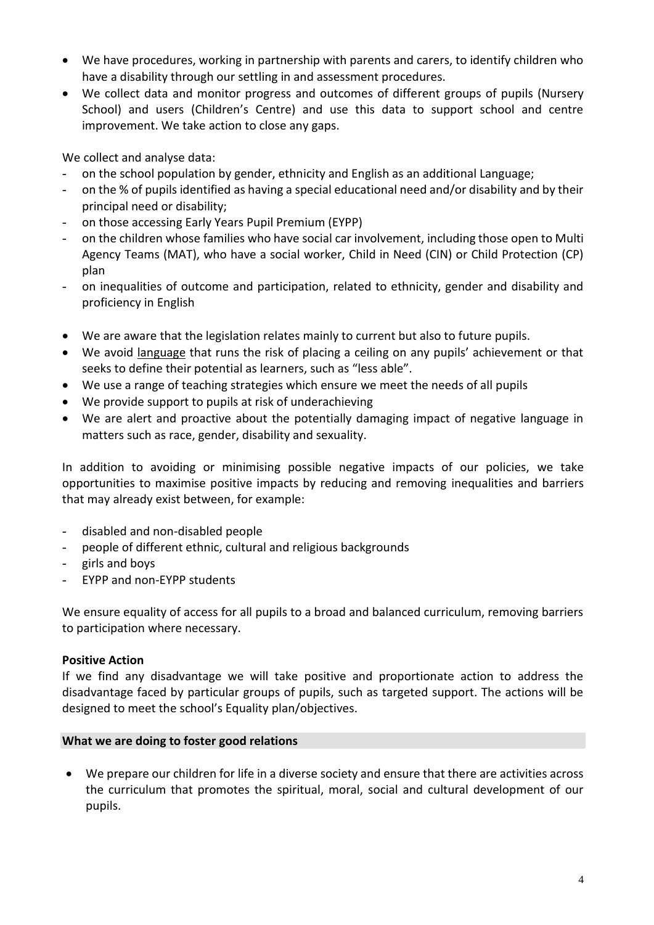- We have procedures, working in partnership with parents and carers, to identify children who have a disability through our settling in and assessment procedures.
- We collect data and monitor progress and outcomes of different groups of pupils (Nursery School) and users (Children's Centre) and use this data to support school and centre improvement. We take action to close any gaps.

We collect and analyse data:

- on the school population by gender, ethnicity and English as an additional Language;
- on the % of pupils identified as having a special educational need and/or disability and by their principal need or disability;
- on those accessing Early Years Pupil Premium (EYPP)
- on the children whose families who have social car involvement, including those open to Multi Agency Teams (MAT), who have a social worker, Child in Need (CIN) or Child Protection (CP) plan
- on inequalities of outcome and participation, related to ethnicity, gender and disability and proficiency in English
- We are aware that the legislation relates mainly to current but also to future pupils.
- We avoid language that runs the risk of placing a ceiling on any pupils' achievement or that seeks to define their potential as learners, such as "less able".
- We use a range of teaching strategies which ensure we meet the needs of all pupils
- We provide support to pupils at risk of underachieving
- We are alert and proactive about the potentially damaging impact of negative language in matters such as race, gender, disability and sexuality.

In addition to avoiding or minimising possible negative impacts of our policies, we take opportunities to maximise positive impacts by reducing and removing inequalities and barriers that may already exist between, for example:

- disabled and non-disabled people
- people of different ethnic, cultural and religious backgrounds
- girls and boys
- EYPP and non-EYPP students

We ensure equality of access for all pupils to a broad and balanced curriculum, removing barriers to participation where necessary.

## **Positive Action**

If we find any disadvantage we will take positive and proportionate action to address the disadvantage faced by particular groups of pupils, such as targeted support. The actions will be designed to meet the school's Equality plan/objectives.

## **What we are doing to foster good relations**

 We prepare our children for life in a diverse society and ensure that there are activities across the curriculum that promotes the spiritual, moral, social and cultural development of our pupils.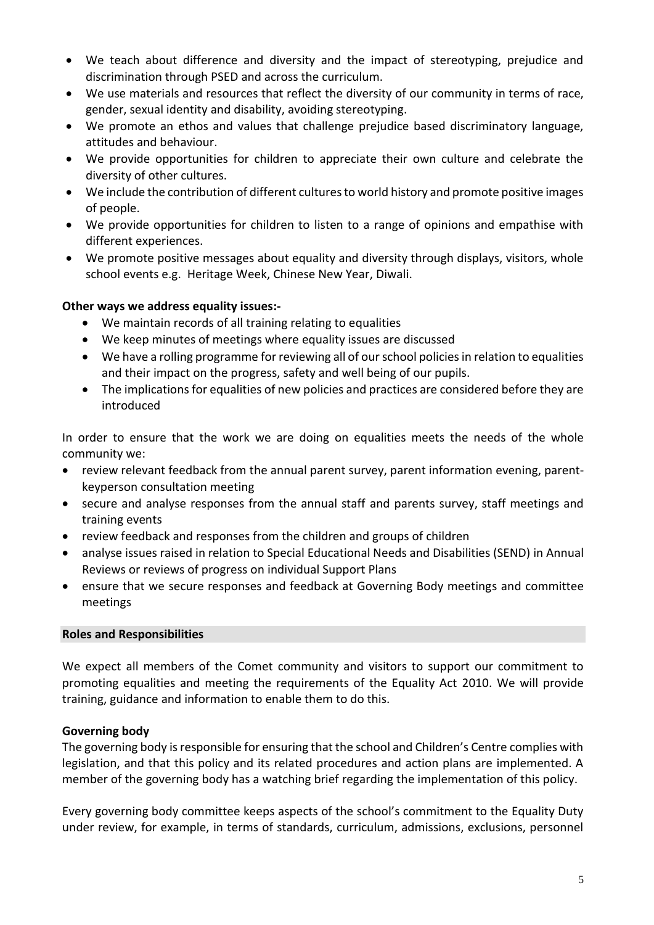- We teach about difference and diversity and the impact of stereotyping, prejudice and discrimination through PSED and across the curriculum.
- We use materials and resources that reflect the diversity of our community in terms of race, gender, sexual identity and disability, avoiding stereotyping.
- We promote an ethos and values that challenge prejudice based discriminatory language, attitudes and behaviour.
- We provide opportunities for children to appreciate their own culture and celebrate the diversity of other cultures.
- We include the contribution of different cultures to world history and promote positive images of people.
- We provide opportunities for children to listen to a range of opinions and empathise with different experiences.
- We promote positive messages about equality and diversity through displays, visitors, whole school events e.g. Heritage Week, Chinese New Year, Diwali.

## **Other ways we address equality issues:-**

- We maintain records of all training relating to equalities
- We keep minutes of meetings where equality issues are discussed
- We have a rolling programme for reviewing all of our school policies in relation to equalities and their impact on the progress, safety and well being of our pupils.
- The implications for equalities of new policies and practices are considered before they are introduced

In order to ensure that the work we are doing on equalities meets the needs of the whole community we:

- review relevant feedback from the annual parent survey, parent information evening, parentkeyperson consultation meeting
- secure and analyse responses from the annual staff and parents survey, staff meetings and training events
- review feedback and responses from the children and groups of children
- analyse issues raised in relation to Special Educational Needs and Disabilities (SEND) in Annual Reviews or reviews of progress on individual Support Plans
- ensure that we secure responses and feedback at Governing Body meetings and committee meetings

#### **Roles and Responsibilities**

We expect all members of the Comet community and visitors to support our commitment to promoting equalities and meeting the requirements of the Equality Act 2010. We will provide training, guidance and information to enable them to do this.

#### **Governing body**

The governing body is responsible for ensuring that the school and Children's Centre complies with legislation, and that this policy and its related procedures and action plans are implemented. A member of the governing body has a watching brief regarding the implementation of this policy.

Every governing body committee keeps aspects of the school's commitment to the Equality Duty under review, for example, in terms of standards, curriculum, admissions, exclusions, personnel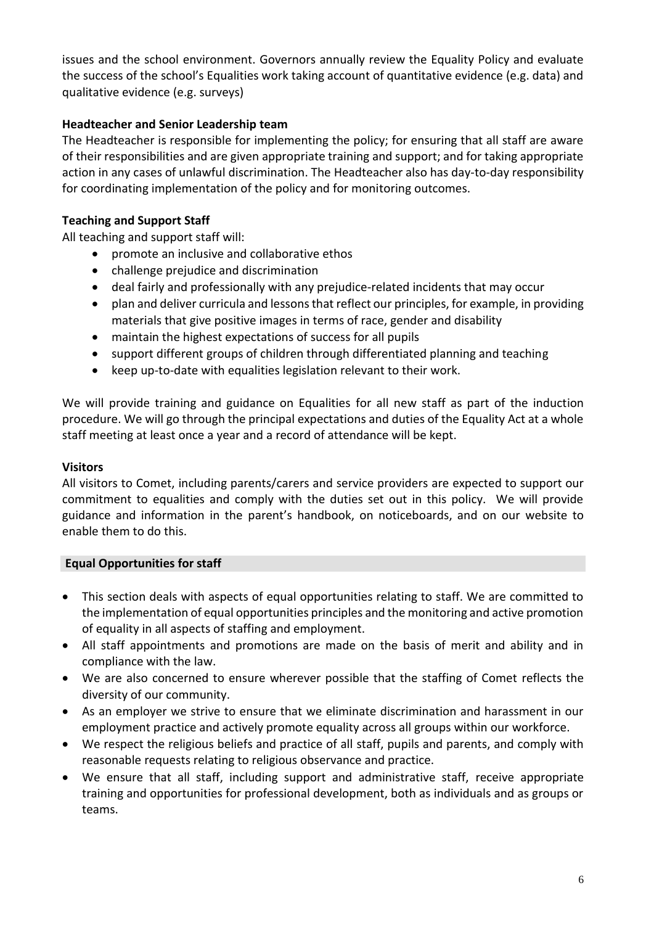issues and the school environment. Governors annually review the Equality Policy and evaluate the success of the school's Equalities work taking account of quantitative evidence (e.g. data) and qualitative evidence (e.g. surveys)

# **Headteacher and Senior Leadership team**

The Headteacher is responsible for implementing the policy; for ensuring that all staff are aware of their responsibilities and are given appropriate training and support; and for taking appropriate action in any cases of unlawful discrimination. The Headteacher also has day-to-day responsibility for coordinating implementation of the policy and for monitoring outcomes.

## **Teaching and Support Staff**

All teaching and support staff will:

- promote an inclusive and collaborative ethos
- challenge prejudice and discrimination
- deal fairly and professionally with any prejudice-related incidents that may occur
- plan and deliver curricula and lessons that reflect our principles, for example, in providing materials that give positive images in terms of race, gender and disability
- maintain the highest expectations of success for all pupils
- support different groups of children through differentiated planning and teaching
- keep up-to-date with equalities legislation relevant to their work.

We will provide training and guidance on Equalities for all new staff as part of the induction procedure. We will go through the principal expectations and duties of the Equality Act at a whole staff meeting at least once a year and a record of attendance will be kept.

#### **Visitors**

All visitors to Comet, including parents/carers and service providers are expected to support our commitment to equalities and comply with the duties set out in this policy. We will provide guidance and information in the parent's handbook, on noticeboards, and on our website to enable them to do this.

## **Equal Opportunities for staff**

- This section deals with aspects of equal opportunities relating to staff. We are committed to the implementation of equal opportunities principles and the monitoring and active promotion of equality in all aspects of staffing and employment.
- All staff appointments and promotions are made on the basis of merit and ability and in compliance with the law.
- We are also concerned to ensure wherever possible that the staffing of Comet reflects the diversity of our community.
- As an employer we strive to ensure that we eliminate discrimination and harassment in our employment practice and actively promote equality across all groups within our workforce.
- We respect the religious beliefs and practice of all staff, pupils and parents, and comply with reasonable requests relating to religious observance and practice.
- We ensure that all staff, including support and administrative staff, receive appropriate training and opportunities for professional development, both as individuals and as groups or teams.